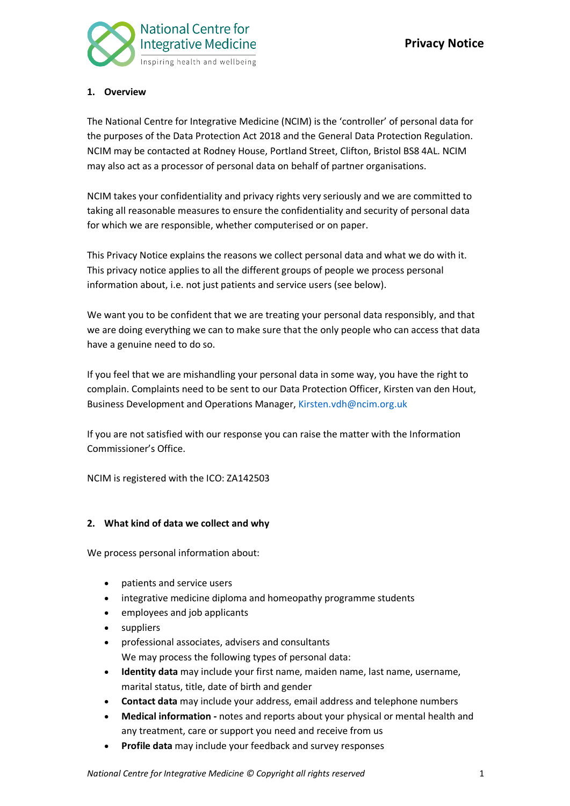

# **1. Overview**

The National Centre for Integrative Medicine (NCIM) is the 'controller' of personal data for the purposes of the Data Protection Act 2018 and the General Data Protection Regulation. NCIM may be contacted at Rodney House, Portland Street, Clifton, Bristol BS8 4AL. NCIM may also act as a processor of personal data on behalf of partner organisations.

NCIM takes your confidentiality and privacy rights very seriously and we are committed to taking all reasonable measures to ensure the confidentiality and security of personal data for which we are responsible, whether computerised or on paper.

This Privacy Notice explains the reasons we collect personal data and what we do with it. This privacy notice applies to all the different groups of people we process personal information about, i.e. not just patients and service users (see below).

We want you to be confident that we are treating your personal data responsibly, and that we are doing everything we can to make sure that the only people who can access that data have a genuine need to do so.

If you feel that we are mishandling your personal data in some way, you have the right to complain. Complaints need to be sent to our Data Protection Officer, Kirsten van den Hout, Business Development and Operations Manager, Kirsten.vdh@ncim.org.uk

If you are not satisfied with our response you can raise the matter with the Information Commissioner's Office.

NCIM is registered with the ICO: ZA142503

# **2. What kind of data we collect and why**

We process personal information about:

- patients and service users
- integrative medicine diploma and homeopathy programme students
- employees and job applicants
- **suppliers**
- professional associates, advisers and consultants We may process the following types of personal data:
- **Identity data** may include your first name, maiden name, last name, username, marital status, title, date of birth and gender
- **Contact data** may include your address, email address and telephone numbers
- **Medical information -** notes and reports about your physical or mental health and any treatment, care or support you need and receive from us
- **Profile data** may include your feedback and survey responses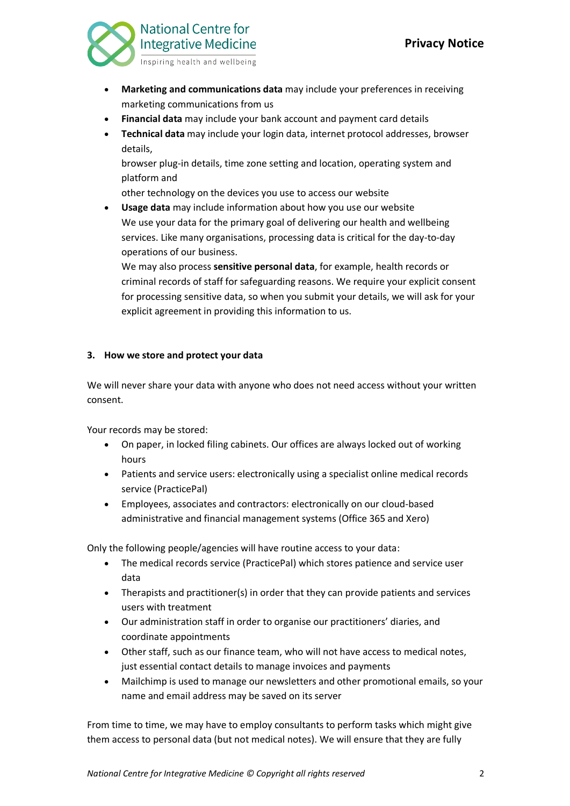

- **Marketing and communications data** may include your preferences in receiving marketing communications from us
- **Financial data** may include your bank account and payment card details
- **Technical data** may include your login data, internet protocol addresses, browser details,

browser plug-in details, time zone setting and location, operating system and platform and

other technology on the devices you use to access our website

• **Usage data** may include information about how you use our website We use your data for the primary goal of delivering our health and wellbeing services. Like many organisations, processing data is critical for the day-to-day operations of our business.

We may also process **sensitive personal data**, for example, health records or criminal records of staff for safeguarding reasons. We require your explicit consent for processing sensitive data, so when you submit your details, we will ask for your explicit agreement in providing this information to us.

# **3. How we store and protect your data**

We will never share your data with anyone who does not need access without your written consent.

Your records may be stored:

- On paper, in locked filing cabinets. Our offices are always locked out of working hours
- Patients and service users: electronically using a specialist online medical records service (PracticePal)
- Employees, associates and contractors: electronically on our cloud-based administrative and financial management systems (Office 365 and Xero)

Only the following people/agencies will have routine access to your data:

- The medical records service (PracticePal) which stores patience and service user data
- Therapists and practitioner(s) in order that they can provide patients and services users with treatment
- Our administration staff in order to organise our practitioners' diaries, and coordinate appointments
- Other staff, such as our finance team, who will not have access to medical notes, just essential contact details to manage invoices and payments
- Mailchimp is used to manage our newsletters and other promotional emails, so your name and email address may be saved on its server

From time to time, we may have to employ consultants to perform tasks which might give them access to personal data (but not medical notes). We will ensure that they are fully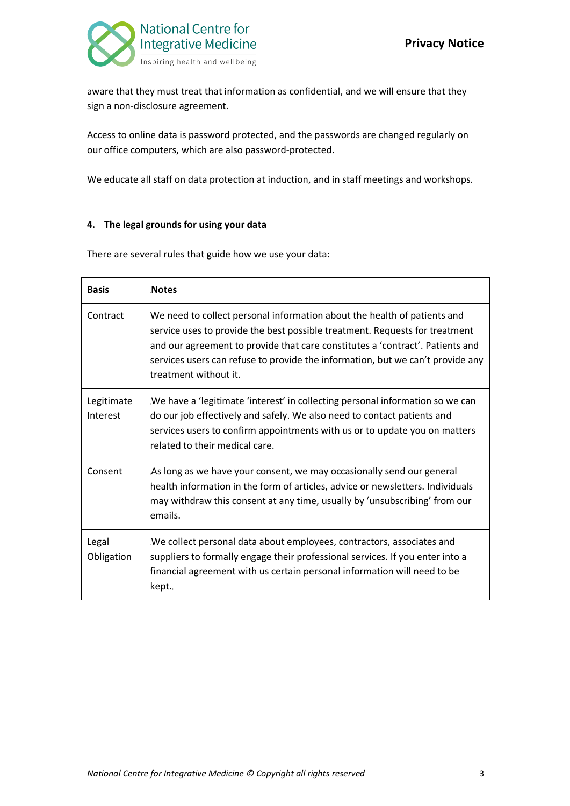

aware that they must treat that information as confidential, and we will ensure that they sign a non-disclosure agreement.

Access to online data is password protected, and the passwords are changed regularly on our office computers, which are also password-protected.

We educate all staff on data protection at induction, and in staff meetings and workshops.

### **4. The legal grounds for using your data**

There are several rules that guide how we use your data:

| <b>Basis</b>           | <b>Notes</b>                                                                                                                                                                                                                                                                                                                                        |  |
|------------------------|-----------------------------------------------------------------------------------------------------------------------------------------------------------------------------------------------------------------------------------------------------------------------------------------------------------------------------------------------------|--|
| Contract               | We need to collect personal information about the health of patients and<br>service uses to provide the best possible treatment. Requests for treatment<br>and our agreement to provide that care constitutes a 'contract'. Patients and<br>services users can refuse to provide the information, but we can't provide any<br>treatment without it. |  |
| Legitimate<br>Interest | We have a 'legitimate 'interest' in collecting personal information so we can<br>do our job effectively and safely. We also need to contact patients and<br>services users to confirm appointments with us or to update you on matters<br>related to their medical care.                                                                            |  |
| Consent                | As long as we have your consent, we may occasionally send our general<br>health information in the form of articles, advice or newsletters. Individuals<br>may withdraw this consent at any time, usually by 'unsubscribing' from our<br>emails.                                                                                                    |  |
| Legal<br>Obligation    | We collect personal data about employees, contractors, associates and<br>suppliers to formally engage their professional services. If you enter into a<br>financial agreement with us certain personal information will need to be<br>kept.                                                                                                         |  |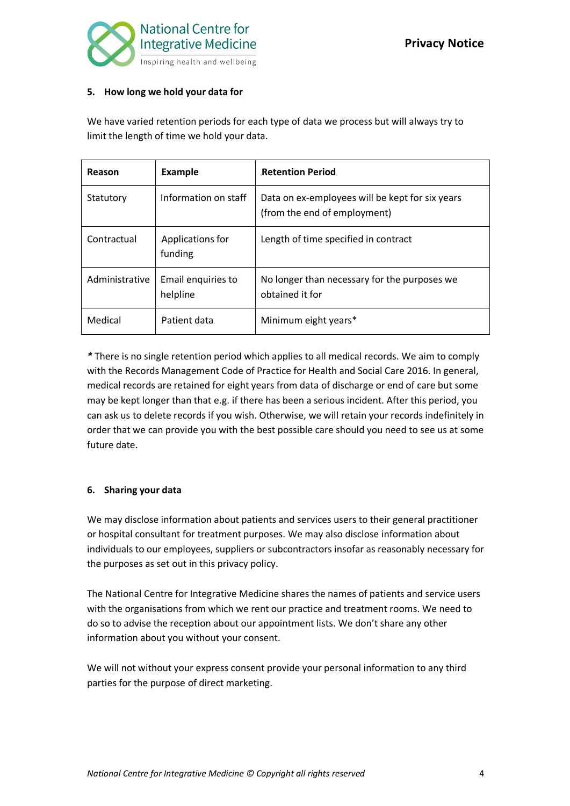

### **5. How long we hold your data for**

We have varied retention periods for each type of data we process but will always try to limit the length of time we hold your data.

| Reason         | Example                        | <b>Retention Period.</b>                                                        |
|----------------|--------------------------------|---------------------------------------------------------------------------------|
| Statutory      | Information on staff           | Data on ex-employees will be kept for six years<br>(from the end of employment) |
| Contractual    | Applications for<br>funding.   | Length of time specified in contract                                            |
| Administrative | Email enquiries to<br>helpline | No longer than necessary for the purposes we<br>obtained it for                 |
| Medical        | Patient data.                  | Minimum eight years*                                                            |

*\** There is no single retention period which applies to all medical records. We aim to comply with the Records Management Code of Practice for Health and Social Care 2016. In general, medical records are retained for eight years from data of discharge or end of care but some may be kept longer than that e.g. if there has been a serious incident. After this period, you can ask us to delete records if you wish. Otherwise, we will retain your records indefinitely in order that we can provide you with the best possible care should you need to see us at some future date.

# **6. Sharing your data**

We may disclose information about patients and services users to their general practitioner or hospital consultant for treatment purposes. We may also disclose information about individuals to our employees, suppliers or subcontractors insofar as reasonably necessary for the purposes as set out in this privacy policy.

The National Centre for Integrative Medicine shares the names of patients and service users with the organisations from which we rent our practice and treatment rooms. We need to do so to advise the reception about our appointment lists. We don't share any other information about you without your consent.

We will not without your express consent provide your personal information to any third parties for the purpose of direct marketing.